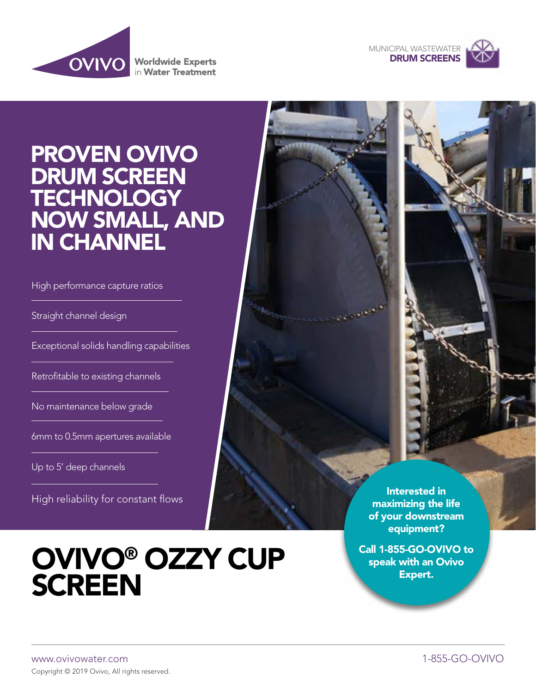



# PROVEN OVIVO DRUM SCREEN **TECHNOLOGY** NOW SMALL, AND IN CHANNEL

High performance capture ratios

Straight channel design

Exceptional solids handling capabilities

Retrofitable to existing channels

No maintenance below grade

6mm to 0.5mm apertures available

Up to 5' deep channels

High reliability for constant flows

# **OVIVO<sup>®</sup> OZZY CUP SCREEN**

Interested in maximizing the life of your downstream equipment?

Call 1-855-GO-OVIVO to Expert.

www.ovivowater.com 1-855-GO-OVIVO Copyright © 2019 Ovivo, All rights reserved.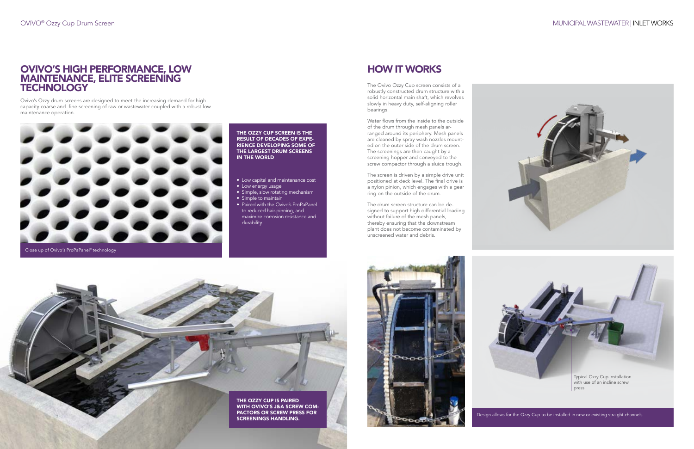## OVIVO'S HIGH PERFORMANCE, LOW MAINTENANCE, ELITE SCREENING **TECHNOLOGY**

# HOW IT WORKS

Ovivo's Ozzy drum screens are designed to meet the increasing demand for high capacity coarse and fine screening of raw or wastewater coupled with a robust low maintenance operation.



#### THE OZZY CUP SCREEN IS THE RESULT OF DECADES OF EXPE-RIENCE DEVELOPING SOME OF THE LARGEST DRUM SCREENS IN THE WORLD

- Low capital and maintenance cost
- Low energy usage
- Simple, slow rotating mechanism
- Simple to maintain
- Paired with the Ovivo's ProPaPanel to reduced hair-pinning, and maximize corrosion resistance and durability.





The Ovivo Ozzy Cup screen consists of a robustly constructed drum structure with a solid horizontal main shaft, which revolves slowly in heavy duty, self-aligning roller bearings.

Water flows from the inside to the outside of the drum through mesh panels arranged around its periphery. Mesh panels are cleaned by spray wash nozzles mounted on the outer side of the drum screen. The screenings are then caught by a screening hopper and conveyed to the screw compactor through a sluice trough.

The screen is driven by a simple drive unit positioned at deck level. The final drive is a nylon pinion, which engages with a gear ring on the outside of the drum.

The drum screen structure can be designed to support high differential loading without failure of the mesh panels, thereby ensuring that the downstream plant does not become contaminated by unscreened water and debris.



### OVIVO® Ozzy Cup Drum Screen MUNICIPAL WASTEWATER | INLET WORKS



Design allows for the Ozzy Cup to be installed in new or existing straight channels

Close up of Ovivo's ProPaPanel® technology